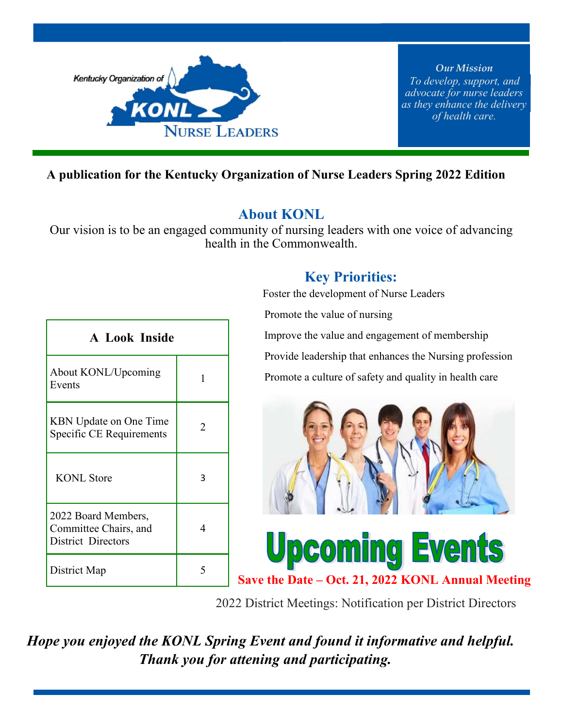

*Our Mission To develop, support, and advocate for nurse leaders as they enhance the delivery of health care.* 

#### **A publication for the Kentucky Organization of Nurse Leaders Spring 2022 Edition**

#### **About KONL**

Our vision is to be an engaged community of nursing leaders with one voice of advancing health in the Commonwealth.

| <b>A Look Inside</b>                                               |   |  |
|--------------------------------------------------------------------|---|--|
| About KONL/Upcoming<br>Events                                      | 1 |  |
| <b>KBN</b> Update on One Time<br>Specific CE Requirements          | 2 |  |
| <b>KONL</b> Store                                                  | 3 |  |
| 2022 Board Members,<br>Committee Chairs, and<br>District Directors | 4 |  |
| District Map                                                       |   |  |

#### **Key Priorities:**

Foster the development of Nurse Leaders

Promote the value of nursing

Improve the value and engagement of membership

Provide leadership that enhances the Nursing profession

Promote a culture of safety and quality in health care



# **Upcoming Events**

**Save the Date – Oct. 21, 2022 KONL Annual Meeting**

2022 District Meetings: Notification per District Directors

 *Hope you enjoyed the KONL Spring Event and found it informative and helpful. Thank you for attening and participating.*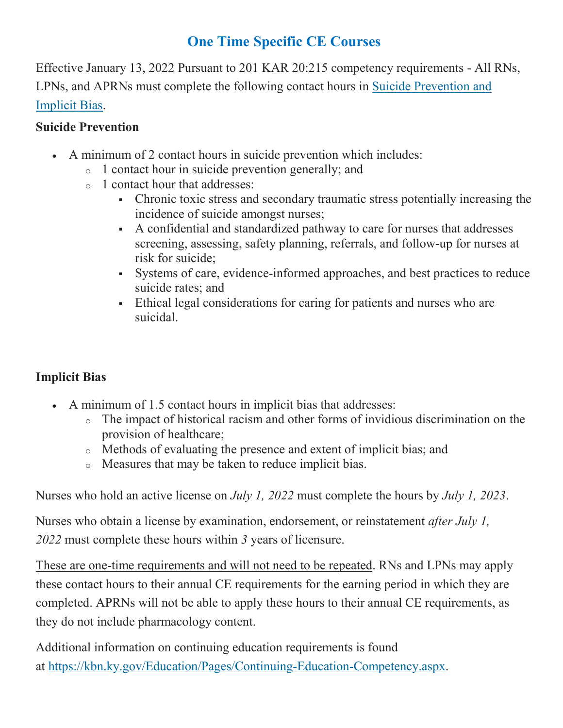### **One Time Specific CE Courses**

Effective January 13, 2022 Pursuant to 201 KAR 20:215 competency requirements - All RNs, LPNs, and APRNs must complete the following contact hours in Suicide Prevention and Implicit Bias.

#### **Suicide Prevention**

- A minimum of 2 contact hours in suicide prevention which includes:
	- o 1 contact hour in suicide prevention generally; and
	- o 1 contact hour that addresses:
		- Chronic toxic stress and secondary traumatic stress potentially increasing the incidence of suicide amongst nurses;
		- A confidential and standardized pathway to care for nurses that addresses screening, assessing, safety planning, referrals, and follow-up for nurses at risk for suicide;
		- Systems of care, evidence-informed approaches, and best practices to reduce suicide rates; and
		- Ethical legal considerations for caring for patients and nurses who are suicidal.

#### **Implicit Bias**

- A minimum of 1.5 contact hours in implicit bias that addresses:
	- o The impact of historical racism and other forms of invidious discrimination on the provision of healthcare;
	- o Methods of evaluating the presence and extent of implicit bias; and
	- o Measures that may be taken to reduce implicit bias.

Nurses who hold an active license on *July 1, 2022* must complete the hours by *July 1, 2023*.

Nurses who obtain a license by examination, endorsement, or reinstatement *after July 1, 2022* must complete these hours within *3* years of licensure.

These are one-time requirements and will not need to be repeated. RNs and LPNs may apply these contact hours to their annual CE requirements for the earning period in which they are completed. APRNs will not be able to apply these hours to their annual CE requirements, as they do not include pharmacology content.

Additional information on continuing education requirements is found at https://kbn.ky.gov/Education/Pages/Continuing-Education-Competency.aspx.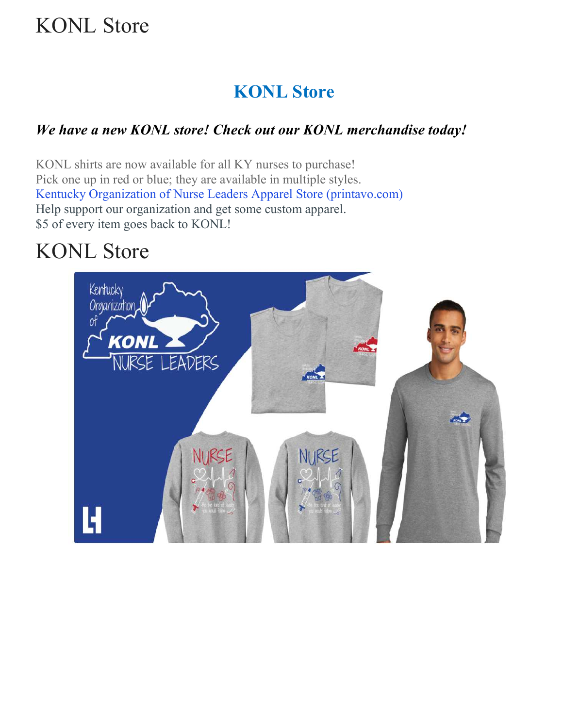# KONL Store

## **KONL Store**

#### *We have a new KONL store! Check out our KONL merchandise today!*

KONL shirts are now available for all KY nurses to purchase! Pick one up in red or blue; they are available in multiple styles. Kentucky Organization of Nurse Leaders Apparel Store (printavo.com) Help support our organization and get some custom apparel. \$5 of every item goes back to KONL!

# KONL Store

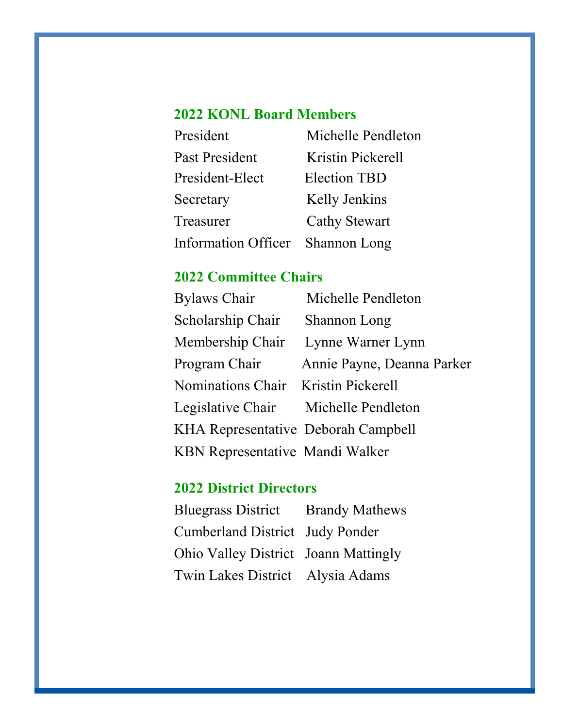## **2022 KONL Board Members**

| President                        | Michelle Pendleton   |
|----------------------------------|----------------------|
| Past President                   | Kristin Pickerell    |
| President-Elect                  | <b>Election TBD</b>  |
| Secretary                        | <b>Kelly Jenkins</b> |
| Treasurer                        | <b>Cathy Stewart</b> |
| Information Officer Shannon Long |                      |

## **2022 Committee Chairs**

| <b>Bylaws Chair</b>                    | Michelle Pendleton         |
|----------------------------------------|----------------------------|
| Scholarship Chair                      | Shannon Long               |
| Membership Chair                       | Lynne Warner Lynn          |
| Program Chair                          | Annie Payne, Deanna Parker |
| Nominations Chair Kristin Pickerell    |                            |
| Legislative Chair Michelle Pendleton   |                            |
| KHA Representative Deborah Campbell    |                            |
| <b>KBN</b> Representative Mandi Walker |                            |

## **2022 District Directors**

| <b>Bluegrass District</b> Brandy Mathews |  |
|------------------------------------------|--|
| Cumberland District Judy Ponder          |  |
| Ohio Valley District Joann Mattingly     |  |
| Twin Lakes District Alysia Adams         |  |